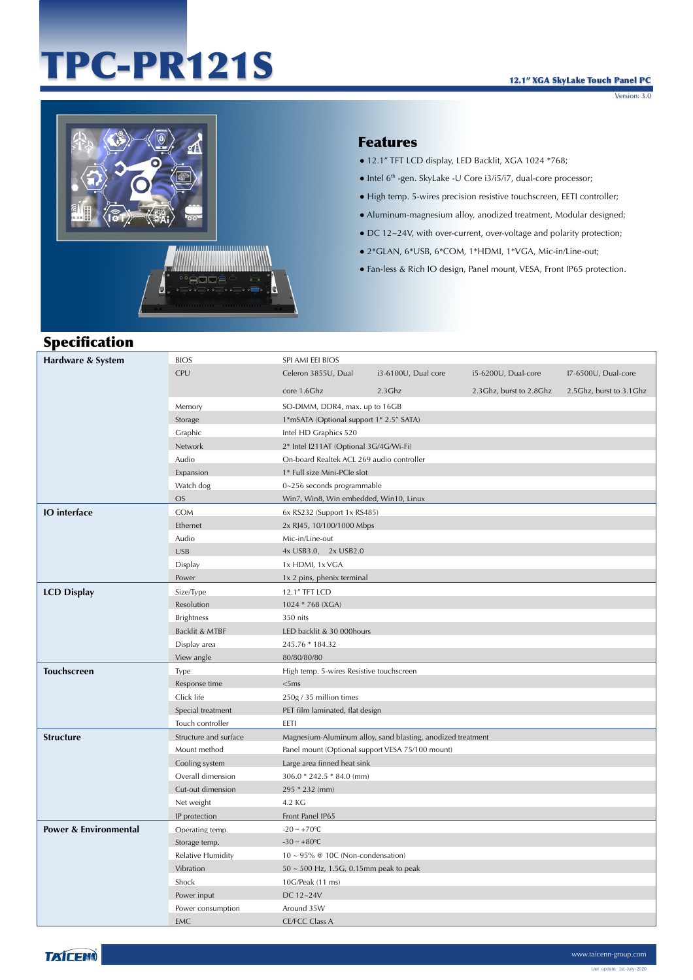# TPC-PR121S

Version: 3.0



#### Features

- 12.1" TFT LCD display, LED Backlit, XGA 1024 \*768;
- Intel 6th -gen. SkyLake -U Core i3/i5/i7, dual-core processor;
- High temp. 5-wires precision resistive touchscreen, EETI controller;
- Aluminum-magnesium alloy, anodized treatment, Modular designed;
- DC 12~24V, with over-current, over-voltage and polarity protection;
- 2\*GLAN, 6\*USB, 6\*COM, 1\*HDMI, 1\*VGA, Mic-in/Line-out;
- Fan-less & Rich IO design, Panel mount, VESA, Front IP65 protection.

### Specification

| Hardware & System                | <b>BIOS</b>           | SPI AMI EEI BIOS                                            |                     |                         |                         |
|----------------------------------|-----------------------|-------------------------------------------------------------|---------------------|-------------------------|-------------------------|
|                                  | CPU                   | Celeron 3855U, Dual                                         | i3-6100U, Dual core | i5-6200U, Dual-core     | I7-6500U, Dual-core     |
|                                  |                       | core 1.6Ghz                                                 | $2.3$ Ghz           | 2.3Ghz, burst to 2.8Ghz | 2.5Ghz, burst to 3.1Ghz |
|                                  | Memory                | SO-DIMM, DDR4, max. up to 16GB                              |                     |                         |                         |
|                                  | Storage               | 1*mSATA (Optional support 1* 2.5" SATA)                     |                     |                         |                         |
|                                  | Graphic               | Intel HD Graphics 520                                       |                     |                         |                         |
|                                  | Network               | 2* Intel I211AT (Optional 3G/4G/Wi-Fi)                      |                     |                         |                         |
|                                  | Audio                 | On-board Realtek ACL 269 audio controller                   |                     |                         |                         |
|                                  | Expansion             | 1* Full size Mini-PCIe slot                                 |                     |                         |                         |
|                                  | Watch dog             | 0~256 seconds programmable                                  |                     |                         |                         |
|                                  | <b>OS</b>             | Win7, Win8, Win embedded, Win10, Linux                      |                     |                         |                         |
| <b>IO</b> interface              | <b>COM</b>            | 6x RS232 (Support 1x RS485)                                 |                     |                         |                         |
|                                  | Ethernet              | 2x RJ45, 10/100/1000 Mbps                                   |                     |                         |                         |
|                                  | Audio                 | Mic-in/Line-out                                             |                     |                         |                         |
|                                  | <b>USB</b>            | 4x USB3.0, 2x USB2.0                                        |                     |                         |                         |
|                                  | Display               | 1x HDMI, 1x VGA                                             |                     |                         |                         |
|                                  | Power                 | 1x 2 pins, phenix terminal                                  |                     |                         |                         |
| <b>LCD Display</b>               | Size/Type             | 12.1" TFT LCD                                               |                     |                         |                         |
|                                  | Resolution            | 1024 * 768 (XGA)                                            |                     |                         |                         |
|                                  | <b>Brightness</b>     | 350 nits                                                    |                     |                         |                         |
|                                  | Backlit & MTBF        | LED backlit & 30 000hours                                   |                     |                         |                         |
|                                  | Display area          | 245.76 * 184.32                                             |                     |                         |                         |
|                                  | View angle            | 80/80/80/80                                                 |                     |                         |                         |
| <b>Touchscreen</b>               | Type                  | High temp. 5-wires Resistive touchscreen                    |                     |                         |                         |
|                                  | Response time         | <5ms                                                        |                     |                         |                         |
|                                  | Click life            | 250g / 35 million times                                     |                     |                         |                         |
|                                  | Special treatment     | PET film laminated, flat design                             |                     |                         |                         |
|                                  | Touch controller      | EETI                                                        |                     |                         |                         |
| <b>Structure</b>                 | Structure and surface | Magnesium-Aluminum alloy, sand blasting, anodized treatment |                     |                         |                         |
|                                  | Mount method          | Panel mount (Optional support VESA 75/100 mount)            |                     |                         |                         |
|                                  | Cooling system        | Large area finned heat sink                                 |                     |                         |                         |
|                                  | Overall dimension     | 306.0 * 242.5 * 84.0 (mm)                                   |                     |                         |                         |
|                                  | Cut-out dimension     | 295 * 232 (mm)                                              |                     |                         |                         |
|                                  | Net weight            | 4.2 KG                                                      |                     |                         |                         |
|                                  | IP protection         | Front Panel IP65                                            |                     |                         |                         |
| <b>Power &amp; Environmental</b> | Operating temp.       | $-20 \sim +70$ °C                                           |                     |                         |                         |
|                                  | Storage temp.         | $-30 - +80$ °C                                              |                     |                         |                         |
|                                  | Relative Humidity     | 10 ~ 95% @ 10C (Non-condensation)                           |                     |                         |                         |
|                                  | Vibration             | $50 \sim 500$ Hz, 1.5G, 0.15mm peak to peak                 |                     |                         |                         |
|                                  | Shock                 | 10G/Peak (11 ms)                                            |                     |                         |                         |
|                                  | Power input           | DC 12~24V                                                   |                     |                         |                         |
|                                  | Power consumption     | Around 35W                                                  |                     |                         |                         |
|                                  | <b>EMC</b>            | <b>CE/FCC Class A</b>                                       |                     |                         |                         |